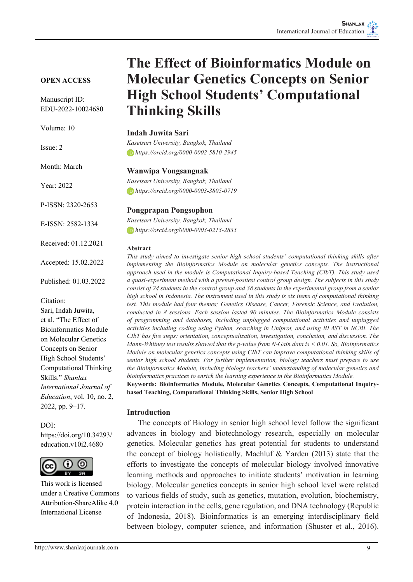# **OPEN ACCESS**

Manuscript ID: EDU-2022-10024680

Volume: 10

Issue: 2

Month: March

Year: 2022

P-ISSN: 2320-2653

E-ISSN: 2582-1334

Received: 01.12.2021

Accepted: 15.02.2022

Published: 01.03.2022

Citation:

Sari, Indah Juwita, et al. "The Effect of Bioinformatics Module on Molecular Genetics Concepts on Senior High School Students' Computational Thinking Skills." *Shanlax International Journal of Education*, vol. 10, no. 2, 2022, pp. 9–17.

#### DOI:

https://doi.org/10.34293/ education.v10i2.4680



This work is licensed under a Creative Commons Attribution-ShareAlike 4.0 International License

# **The Effect of Bioinformatics Module on Molecular Genetics Concepts on Senior High School Students' Computational Thinking Skills**

#### **Indah Juwita Sari**

*Kasetsart University, Bangkok, Thailand https://orcid.org/0000-0002-5810-2945*

#### **Wanwipa Vongsangnak**

*Kasetsart University, Bangkok, Thailand https://orcid.org/0000-0003-3805-0719*

#### **Pongprapan Pongsophon**

*Kasetsart University, Bangkok, Thailand https://orcid.org/0000-0003-0213-2835*

#### **Abstract**

*This study aimed to investigate senior high school students' computational thinking skills after implementing the Bioinformatics Module on molecular genetics concepts. The instructional approach used in the module is Computational Inquiry-based Teaching (CIbT). This study used a quasi-experiment method with a pretest-posttest control group design. The subjects in this study consist of 24 students in the control group and 38 students in the experimental group from a senior high school in Indonesia. The instrument used in this study is six items of computational thinking test. This module had four themes; Genetics Disease, Cancer, Forensic Science, and Evolution, conducted in 8 sessions. Each session lasted 90 minutes. The Bioinformatics Module consists of programming and databases, including unplugged computational activities and unplugged activities including coding using Python, searching in Uniprot, and using BLAST in NCBI. The CIbT has five steps: orientation, conceptualization, investigation, conclusion, and discussion. The Mann-Whitney test results showed that the p-value from N-Gain data is < 0.01. So, Bioinformatics Module on molecular genetics concepts using CIbT can improve computational thinking skills of senior high school students. For further implementation, biology teachers must prepare to use the Bioinformatics Module, including biology teachers' understanding of molecular genetics and bioinformatics practices to enrich the learning experience in the Bioinformatics Module.*

**Keywords: Bioinformatics Module, Molecular Genetics Concepts, Computational Inquirybased Teaching, Computational Thinking Skills, Senior High School**

## **Introduction**

 The concepts of Biology in senior high school level follow the significant advances in biology and biotechnology research, especially on molecular genetics. Molecular genetics has great potential for students to understand the concept of biology holistically. Machluf & Yarden (2013) state that the efforts to investigate the concepts of molecular biology involved innovative learning methods and approaches to initiate students' motivation in learning biology. Molecular genetics concepts in senior high school level were related to various fields of study, such as genetics, mutation, evolution, biochemistry, protein interaction in the cells, gene regulation, and DNA technology (Republic of Indonesia, 2018). Bioinformatics is an emerging interdisciplinary field between biology, computer science, and information (Shuster et al., 2016).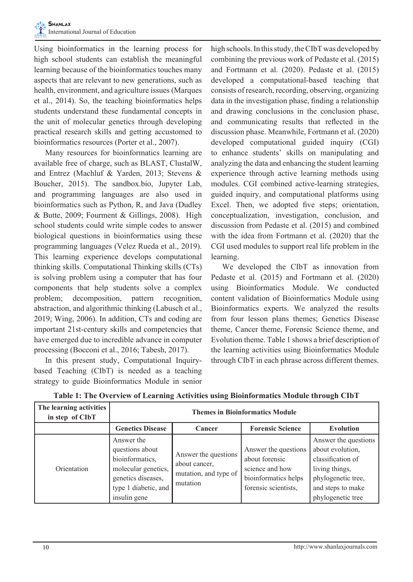Using bioinformatics in the learning process for high school students can establish the meaningful learning because of the bioinformatics touches many aspects that are relevant to new generations, such as health, environment, and agriculture issues (Marques et al., 2014). So, the teaching bioinformatics helps students understand these fundamental concepts in the unit of molecular genetics through developing practical research skills and getting accustomed to bioinformatics resources (Porter et al., 2007).

Many resources for bioinformatics learning are available free of charge, such as BLAST, ClustalW, and Entrez (Machluf & Yarden, 2013; Stevens & Boucher, 2015). The sandbox.bio, Jupyter Lab, and programming languages are also used in bioinformatics such as Python, R, and Java (Dudley & Butte, 2009; Fourment & Gillings, 2008). High school students could write simple codes to answer biological questions in bioinformatics using these programming languages (Velez Rueda et al., 2019). This learning experience develops computational thinking skills. Computational Thinking skills (CTs) is solving problem using a computer that has four components that help students solve a complex problem; decomposition, pattern recognition, abstraction, and algorithmic thinking (Labusch et al., 2019; Wing, 2006). In addition, CTs and coding are important 21st-century skills and competencies that have emerged due to incredible advance in computer processing (Bocconi et al., 2016; Tabesh, 2017).

In this present study, Computational Inquirybased Teaching (CIbT) is needed as a teaching strategy to guide Bioinformatics Module in senior high schools. In this study, the CIbT was developed by combining the previous work of Pedaste et al. (2015) and Fortmann et al. (2020). Pedaste et al. (2015) developed a computational-based teaching that consists of research, recording, observing, organizing data in the investigation phase, finding a relationship and drawing conclusions in the conclusion phase, and communicating results that reflected in the discussion phase. Meanwhile, Fortmann et al. (2020) developed computational guided inquiry (CGI) to enhance students' skills on manipulating and analyzing the data and enhancing the student learning experience through active learning methods using modules. CGI combined active-learning strategies, guided inquiry, and computational platforms using Excel. Then, we adopted five steps; orientation, conceptualization, investigation, conclusion, and discussion from Pedaste et al. (2015) and combined with the idea from Fortmann et al. (2020) that the CGI used modules to support real life problem in the learning.

We developed the CIbT as innovation from Pedaste et al. (2015) and Fortmann et al. (2020) using Bioinformatics Module. We conducted content validation of Bioinformatics Module using Bioinformatics experts. We analyzed the results from four lesson plans themes; Genetics Disease theme, Cancer theme, Forensic Science theme, and Evolution theme. Table 1 shows a brief description of the learning activities using Bioinformatics Module through CIbT in each phrase across different themes.

| The learning activities<br>in step of CIbT | <b>Themes in Bioinformatics Module</b>                                                                                                |                                                                            |                                                                                                           |                                                                                                                                                 |  |
|--------------------------------------------|---------------------------------------------------------------------------------------------------------------------------------------|----------------------------------------------------------------------------|-----------------------------------------------------------------------------------------------------------|-------------------------------------------------------------------------------------------------------------------------------------------------|--|
|                                            | <b>Genetics Disease</b>                                                                                                               | Cancer                                                                     | <b>Forensic Science</b>                                                                                   | <b>Evolution</b>                                                                                                                                |  |
| Orientation                                | Answer the<br>questions about<br>bioinformatics,<br>molecular genetics,<br>genetics diseases,<br>type 1 diabetic, and<br>insulin gene | Answer the questions<br>about cancer,<br>mutation, and type of<br>mutation | Answer the questions<br>about forensic<br>science and how<br>bioinformatics helps<br>forensic scientists, | Answer the questions<br>about evolution.<br>classification of<br>living things,<br>phylogenetic tree,<br>and steps to make<br>phylogenetic tree |  |

**Table 1: The Overview of Learning Activities using Bioinformatics Module through CIbT**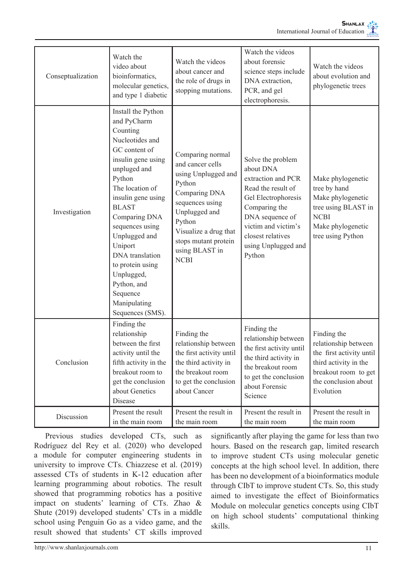| Conseptualization | Watch the<br>video about<br>bioinformatics,<br>molecular genetics,<br>and type 1 diabetic                                                                                                                                                                                                                                                                                      | Watch the videos<br>about cancer and<br>the role of drugs in<br>stopping mutations.                                                                                                                                    | Watch the videos<br>about forensic<br>science steps include<br>DNA extraction,<br>PCR, and gel<br>electrophoresis.                                                                                                 | Watch the videos<br>about evolution and<br>phylogenetic trees                                                                                         |
|-------------------|--------------------------------------------------------------------------------------------------------------------------------------------------------------------------------------------------------------------------------------------------------------------------------------------------------------------------------------------------------------------------------|------------------------------------------------------------------------------------------------------------------------------------------------------------------------------------------------------------------------|--------------------------------------------------------------------------------------------------------------------------------------------------------------------------------------------------------------------|-------------------------------------------------------------------------------------------------------------------------------------------------------|
| Investigation     | Install the Python<br>and PyCharm<br>Counting<br>Nucleotides and<br>GC content of<br>insulin gene using<br>unpluged and<br>Python<br>The location of<br>insulin gene using<br><b>BLAST</b><br>Comparing DNA<br>sequences using<br>Unplugged and<br>Uniport<br>DNA translation<br>to protein using<br>Unplugged,<br>Python, and<br>Sequence<br>Manipulating<br>Sequences (SMS). | Comparing normal<br>and cancer cells<br>using Unplugged and<br>Python<br>Comparing DNA<br>sequences using<br>Unplugged and<br>Python<br>Visualize a drug that<br>stops mutant protein<br>using BLAST in<br><b>NCBI</b> | Solve the problem<br>about DNA<br>extraction and PCR<br>Read the result of<br>Gel Electrophoresis<br>Comparing the<br>DNA sequence of<br>victim and victim's<br>closest relatives<br>using Unplugged and<br>Python | Make phylogenetic<br>tree by hand<br>Make phylogenetic<br>tree using BLAST in<br><b>NCBI</b><br>Make phylogenetic<br>tree using Python                |
| Conclusion        | Finding the<br>relationship<br>between the first<br>activity until the<br>fifth activity in the<br>breakout room to<br>get the conclusion<br>about Genetics<br>Disease                                                                                                                                                                                                         | Finding the<br>relationship between<br>the first activity until<br>the third activity in<br>the breakout room<br>to get the conclusion<br>about Cancer                                                                 | Finding the<br>relationship between<br>the first activity until<br>the third activity in<br>the breakout room<br>to get the conclusion<br>about Forensic<br>Science                                                | Finding the<br>relationship between<br>the first activity until<br>third activity in the<br>breakout room to get<br>the conclusion about<br>Evolution |
| Discussion        | Present the result<br>in the main room                                                                                                                                                                                                                                                                                                                                         | Present the result in<br>the main room                                                                                                                                                                                 | Present the result in<br>the main room                                                                                                                                                                             | Present the result in<br>the main room                                                                                                                |

Previous studies developed CTs, such as Rodríguez del Rey et al. (2020) who developed a module for computer engineering students in university to improve CTs. Chiazzese et al. (2019) assessed CTs of students in K-12 education after learning programming about robotics. The result showed that programming robotics has a positive impact on students' learning of CTs. Zhao & Shute (2019) developed students' CTs in a middle school using Penguin Go as a video game, and the result showed that students' CT skills improved

significantly after playing the game for less than two hours. Based on the research gap, limited research to improve student CTs using molecular genetic concepts at the high school level. In addition, there has been no development of a bioinformatics module through CIbT to improve student CTs. So, this study aimed to investigate the effect of Bioinformatics Module on molecular genetics concepts using CIbT on high school students' computational thinking skills.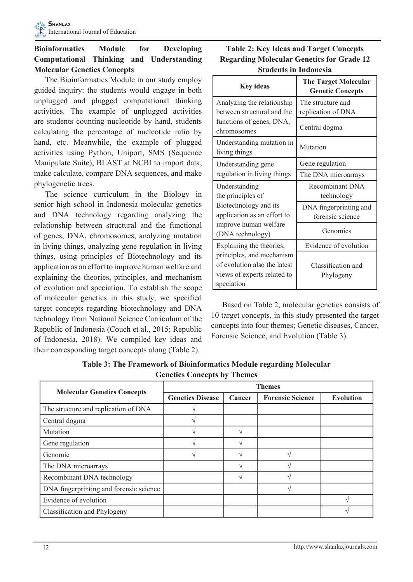# **Bioinformatics Module for Developing Computational Thinking and Understanding Molecular Genetics Concepts**

The Bioinformatics Module in our study employ guided inquiry: the students would engage in both unplugged and plugged computational thinking activities. The example of unplugged activities are students counting nucleotide by hand, students calculating the percentage of nucleotide ratio by hand, etc. Meanwhile, the example of plugged activities using Python, Uniport, SMS (Sequence Manipulate Suite), BLAST at NCBI to import data, make calculate, compare DNA sequences, and make phylogenetic trees.

The science curriculum in the Biology in senior high school in Indonesia molecular genetics and DNA technology regarding analyzing the relationship between structural and the functional of genes, DNA, chromosomes, analyzing mutation in living things, analyzing gene regulation in living things, using principles of Biotechnology and its application as an effort to improve human welfare and explaining the theories, principles, and mechanism of evolution and speciation. To establish the scope of molecular genetics in this study, we specified target concepts regarding biotechnology and DNA technology from National Science Curriculum of the Republic of Indonesia (Couch et al., 2015; Republic of Indonesia, 2018). We compiled key ideas and their corresponding target concepts along (Table 2).

| <b>Table 2: Key Ideas and Target Concepts</b>    |
|--------------------------------------------------|
| <b>Regarding Molecular Genetics for Grade 12</b> |
| <b>Students in Indonesia</b>                     |

| <b>Key ideas</b>                                                                                       | <b>The Target Molecular</b><br><b>Genetic Concepts</b> |  |  |
|--------------------------------------------------------------------------------------------------------|--------------------------------------------------------|--|--|
| Analyzing the relationship<br>between structural and the                                               | The structure and<br>replication of DNA                |  |  |
| functions of genes, DNA,<br>chromosomes                                                                | Central dogma                                          |  |  |
| Understanding mutation in<br>living things                                                             | Mutation                                               |  |  |
| Understanding gene                                                                                     | Gene regulation                                        |  |  |
| regulation in living things                                                                            | The DNA microarrays                                    |  |  |
| Understanding<br>the principles of                                                                     | Recombinant DNA<br>technology                          |  |  |
| Biotechnology and its<br>application as an effort to                                                   | DNA fingerprinting and<br>forensic science             |  |  |
| improve human welfare<br>(DNA technology)                                                              | Genomics                                               |  |  |
| Explaining the theories,                                                                               | Evidence of evolution                                  |  |  |
| principles, and mechanism<br>of evolution also the latest<br>views of experts related to<br>speciation | Classification and<br>Phylogeny                        |  |  |

Based on Table 2, molecular genetics consists of 10 target concepts, in this study presented the target concepts into four themes; Genetic diseases, Cancer, Forensic Science, and Evolution (Table 3).

|                                         | <b>Themes</b>           |        |                         |                  |  |
|-----------------------------------------|-------------------------|--------|-------------------------|------------------|--|
| <b>Molecular Genetics Concepts</b>      | <b>Genetics Disease</b> | Cancer | <b>Forensic Science</b> | <b>Evolution</b> |  |
| The structure and replication of DNA    |                         |        |                         |                  |  |
| Central dogma                           |                         |        |                         |                  |  |
| Mutation                                |                         |        |                         |                  |  |
| Gene regulation                         |                         |        |                         |                  |  |
| Genomic                                 |                         |        |                         |                  |  |
| The DNA microarrays                     |                         |        |                         |                  |  |
| Recombinant DNA technology              |                         |        |                         |                  |  |
| DNA fingerprinting and forensic science |                         |        |                         |                  |  |
| Evidence of evolution                   |                         |        |                         |                  |  |
| Classification and Phylogeny            |                         |        |                         |                  |  |

**Table 3: The Framework of Bioinformatics Module regarding Molecular Genetics Concepts by Themes**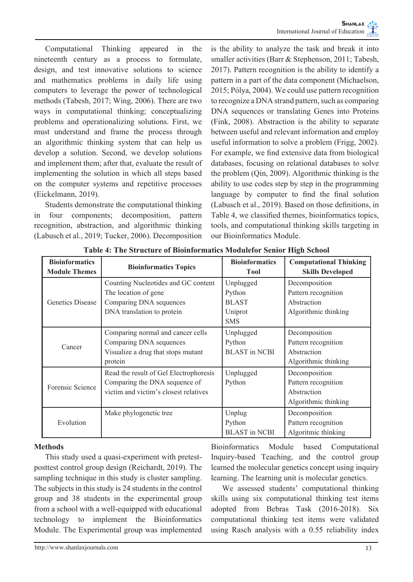Computational Thinking appeared in the nineteenth century as a process to formulate, design, and test innovative solutions to science and mathematics problems in daily life using computers to leverage the power of technological methods (Tabesh, 2017; Wing, 2006). There are two ways in computational thinking; conceptualizing problems and operationalizing solutions. First, we must understand and frame the process through an algorithmic thinking system that can help us develop a solution. Second, we develop solutions and implement them; after that, evaluate the result of implementing the solution in which all steps based on the computer systems and repetitive processes (Eickelmann, 2019).

Students demonstrate the computational thinking in four components; decomposition, pattern recognition, abstraction, and algorithmic thinking (Labusch et al., 2019; Tucker, 2006). Decomposition is the ability to analyze the task and break it into smaller activities (Barr & Stephenson, 2011; Tabesh, 2017). Pattern recognition is the ability to identify a pattern in a part of the data component (Michaelson, 2015; Pólya, 2004). We could use pattern recognition to recognize a DNA strand pattern, such as comparing DNA sequences or translating Genes into Proteins (Fink, 2008). Abstraction is the ability to separate between useful and relevant information and employ useful information to solve a problem (Frigg, 2002). For example, we find extensive data from biological databases, focusing on relational databases to solve the problem (Qin, 2009). Algorithmic thinking is the ability to use codes step by step in the programming language by computer to find the final solution (Labusch et al., 2019). Based on those definitions, in Table 4, we classified themes, bioinformatics topics, tools, and computational thinking skills targeting in our Bioinformatics Module.

| <b>Bioinformatics</b><br><b>Module Themes</b> | <b>Bioinformatics Topics</b>                                                                                         | <b>Bioinformatics</b><br><b>Tool</b>                         | <b>Computational Thinking</b><br><b>Skills Developed</b>                    |
|-----------------------------------------------|----------------------------------------------------------------------------------------------------------------------|--------------------------------------------------------------|-----------------------------------------------------------------------------|
| Genetics Disease                              | Counting Nucleotides and GC content<br>The location of gene<br>Comparing DNA sequences<br>DNA translation to protein | Unplugged<br>Python<br><b>BLAST</b><br>Uniprot<br><b>SMS</b> | Decomposition<br>Pattern recognition<br>Abstraction<br>Algorithmic thinking |
| Cancer                                        | Comparing normal and cancer cells<br>Comparing DNA sequences<br>Visualize a drug that stops mutant<br>protein        | Unplugged<br>Python<br><b>BLAST</b> in NCBI                  | Decomposition<br>Pattern recognition<br>Abstraction<br>Algorithmic thinking |
| Forensic Science                              | Read the result of Gel Electrophoresis<br>Comparing the DNA sequence of<br>victim and victim's closest relatives     | Unplugged<br>Python                                          | Decomposition<br>Pattern recognition<br>Abstraction<br>Algorithmic thinking |
| Evolution                                     | Make phylogenetic tree                                                                                               | Unplug<br>Python<br><b>BLAST</b> in NCBI                     | Decomposition<br>Pattern recognition<br>Algoritmic thinking                 |

**Table 4: The Structure of Bioinformatics Modulefor Senior High School**

## **Methods**

This study used a quasi-experiment with pretestposttest control group design (Reichardt, 2019). The sampling technique in this study is cluster sampling. The subjects in this study is 24 students in the control group and 38 students in the experimental group from a school with a well-equipped with educational technology to implement the Bioinformatics Module. The Experimental group was implemented

Bioinformatics Module based Computational Inquiry-based Teaching, and the control group learned the molecular genetics concept using inquiry learning. The learning unit is molecular genetics.

We assessed students' computational thinking skills using six computational thinking test items adopted from Bebras Task (2016-2018). Six computational thinking test items were validated using Rasch analysis with a 0.55 reliability index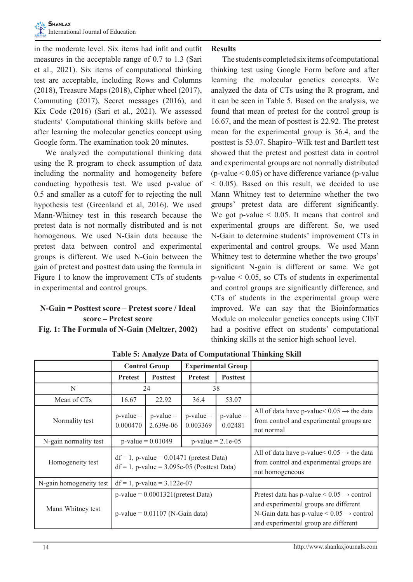in the moderate level. Six items had infit and outfit measures in the acceptable range of 0.7 to 1.3 (Sari et al., 2021). Six items of computational thinking test are acceptable, including Rows and Columns (2018), Treasure Maps (2018), Cipher wheel (2017), Commuting (2017), Secret messages (2016), and Kix Code (2016) (Sari et al., 2021). We assessed students' Computational thinking skills before and after learning the molecular genetics concept using Google form. The examination took 20 minutes.

We analyzed the computational thinking data using the R program to check assumption of data including the normality and homogeneity before conducting hypothesis test. We used p-value of 0.5 and smaller as a cutoff for to rejecting the null hypothesis test (Greenland et al, 2016). We used Mann-Whitney test in this research because the pretest data is not normally distributed and is not homogenous. We used N-Gain data because the pretest data between control and experimental groups is different. We used N-Gain between the gain of pretest and posttest data using the formula in Figure 1 to know the improvement CTs of students in experimental and control groups.

# **N-Gain = Posttest score – Pretest score / Ideal score – Pretest score Fig. 1: The Formula of N-Gain (Meltzer, 2002)**

# **Results**

The students completed six items of computational thinking test using Google Form before and after learning the molecular genetics concepts. We analyzed the data of CTs using the R program, and it can be seen in Table 5. Based on the analysis, we found that mean of pretest for the control group is 16.67, and the mean of posttest is 22.92. The pretest mean for the experimental group is 36.4, and the posttest is 53.07. Shapiro–Wilk test and Bartlett test showed that the pretest and posttest data in control and experimental groups are not normally distributed  $(p-value < 0.05)$  or have difference variance (p-value)  $<$  0.05). Based on this result, we decided to use Mann Whitney test to determine whether the two groups' pretest data are different significantly. We got p-value  $\leq 0.05$ . It means that control and experimental groups are different. So, we used N-Gain to determine students' improvement CTs in experimental and control groups. We used Mann Whitney test to determine whether the two groups' significant N-gain is different or same. We got p-value < 0.05, so CTs of students in experimental and control groups are significantly difference, and CTs of students in the experimental group were improved. We can say that the Bioinformatics Module on molecular genetics concepts using CIbT had a positive effect on students' computational thinking skills at the senior high school level.

|                         | <b>Control Group</b><br><b>Experimental Group</b>                                             |                            |                          |                                                                                                                                                                                                      |                                                                                                                |
|-------------------------|-----------------------------------------------------------------------------------------------|----------------------------|--------------------------|------------------------------------------------------------------------------------------------------------------------------------------------------------------------------------------------------|----------------------------------------------------------------------------------------------------------------|
|                         | <b>Pretest</b>                                                                                | <b>Posttest</b>            | <b>Pretest</b>           | <b>Posttest</b>                                                                                                                                                                                      |                                                                                                                |
| N                       | 24                                                                                            |                            | 38                       |                                                                                                                                                                                                      |                                                                                                                |
| Mean of CTs             | 16.67                                                                                         | 22.92                      | 36.4                     | 53.07                                                                                                                                                                                                |                                                                                                                |
| Normality test          | $p-value =$<br>0.000470                                                                       | $p-value =$<br>$2.639e-06$ | $p$ -value =<br>0.003369 | $p-value =$<br>0.02481                                                                                                                                                                               | All of data have p-value $0.05 \rightarrow$ the data<br>from control and experimental groups are<br>not normal |
| N-gain normality test   | $p$ -value = 0.01049<br>$p-value = 2.1e-05$                                                   |                            |                          |                                                                                                                                                                                                      |                                                                                                                |
| Homogeneity test        | $df = 1$ , p-value = 0.01471 (pretest Data)<br>$df = 1$ , p-value = 3.095e-05 (Posttest Data) |                            |                          | All of data have p-value $0.05 \rightarrow$ the data<br>from control and experimental groups are<br>not homogeneous                                                                                  |                                                                                                                |
| N-gain homogeneity test | $df = 1$ , p-value = 3.122e-07                                                                |                            |                          |                                                                                                                                                                                                      |                                                                                                                |
| Mann Whitney test       | $p$ -value = 0.0001321(pretest Data)<br>$p$ -value = 0.01107 (N-Gain data)                    |                            |                          | Pretest data has p-value $\leq 0.05 \rightarrow$ control<br>and experimental groups are different<br>N-Gain data has p-value $\leq 0.05 \rightarrow$ control<br>and experimental group are different |                                                                                                                |

**Table 5: Analyze Data of Computational Thinking Skill**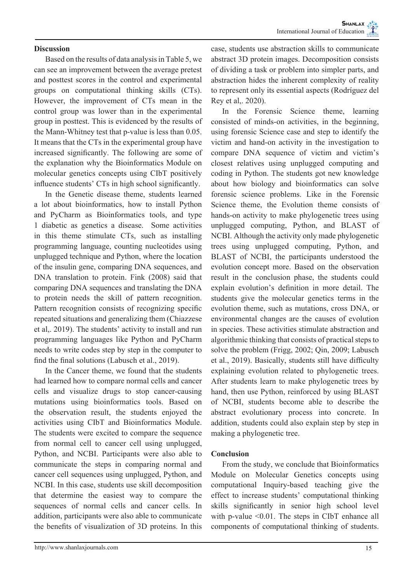#### **Discussion**

Based on the results of data analysis in Table 5, we can see an improvement between the average pretest and posttest scores in the control and experimental groups on computational thinking skills (CTs). However, the improvement of CTs mean in the control group was lower than in the experimental group in posttest. This is evidenced by the results of the Mann-Whitney test that p-value is less than 0.05. It means that the CTs in the experimental group have increased significantly. The following are some of the explanation why the Bioinformatics Module on molecular genetics concepts using CIbT positively influence students' CTs in high school significantly.

In the Genetic disease theme, students learned a lot about bioinformatics, how to install Python and PyCharm as Bioinformatics tools, and type 1 diabetic as genetics a disease. Some activities in this theme stimulate CTs, such as installing programming language, counting nucleotides using unplugged technique and Python, where the location of the insulin gene, comparing DNA sequences, and DNA translation to protein. Fink (2008) said that comparing DNA sequences and translating the DNA to protein needs the skill of pattern recognition. Pattern recognition consists of recognizing specific repeated situations and generalizing them (Chiazzese et al,. 2019). The students' activity to install and run programming languages like Python and PyCharm needs to write codes step by step in the computer to find the final solutions (Labusch et al., 2019).

In the Cancer theme, we found that the students had learned how to compare normal cells and cancer cells and visualize drugs to stop cancer-causing mutations using bioinformatics tools. Based on the observation result, the students enjoyed the activities using CIbT and Bioinformatics Module. The students were excited to compare the sequence from normal cell to cancer cell using unplugged, Python, and NCBI. Participants were also able to communicate the steps in comparing normal and cancer cell sequences using unplugged, Python, and NCBI. In this case, students use skill decomposition that determine the easiest way to compare the sequences of normal cells and cancer cells. In addition, participants were also able to communicate the benefits of visualization of 3D proteins. In this

case, students use abstraction skills to communicate abstract 3D protein images. Decomposition consists of dividing a task or problem into simpler parts, and abstraction hides the inherent complexity of reality to represent only its essential aspects (Rodríguez del Rey et al,. 2020).

In the Forensic Science theme, learning consisted of minds-on activities, in the beginning, using forensic Science case and step to identify the victim and hand-on activity in the investigation to compare DNA sequence of victim and victim's closest relatives using unplugged computing and coding in Python. The students got new knowledge about how biology and bioinformatics can solve forensic science problems. Like in the Forensic Science theme, the Evolution theme consists of hands-on activity to make phylogenetic trees using unplugged computing, Python, and BLAST of NCBI. Although the activity only made phylogenetic trees using unplugged computing, Python, and BLAST of NCBI, the participants understood the evolution concept more. Based on the observation result in the conclusion phase, the students could explain evolution's definition in more detail. The students give the molecular genetics terms in the evolution theme, such as mutations, cross DNA, or environmental changes are the causes of evolution in species. These activities stimulate abstraction and algorithmic thinking that consists of practical steps to solve the problem (Frigg, 2002; Qin, 2009; Labusch et al., 2019). Basically, students still have difficulty explaining evolution related to phylogenetic trees. After students learn to make phylogenetic trees by hand, then use Python, reinforced by using BLAST of NCBI, students become able to describe the abstract evolutionary process into concrete. In addition, students could also explain step by step in making a phylogenetic tree.

#### **Conclusion**

From the study, we conclude that Bioinformatics Module on Molecular Genetics concepts using computational Inquiry-based teaching give the effect to increase students' computational thinking skills significantly in senior high school level with p-value <0.01. The steps in CIbT enhance all components of computational thinking of students.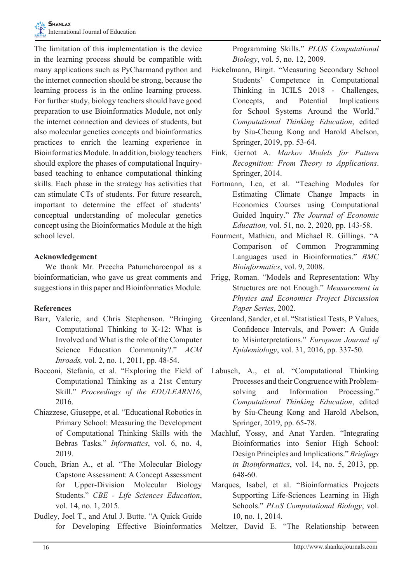The limitation of this implementation is the device in the learning process should be compatible with many applications such as PyCharmand python and the internet connection should be strong, because the learning process is in the online learning process. For further study, biology teachers should have good preparation to use Bioinformatics Module, not only the internet connection and devices of students, but also molecular genetics concepts and bioinformatics practices to enrich the learning experience in Bioinformatics Module. In addition, biology teachers should explore the phases of computational Inquirybased teaching to enhance computational thinking skills. Each phase in the strategy has activities that can stimulate CTs of students. For future research, important to determine the effect of students' conceptual understanding of molecular genetics concept using the Bioinformatics Module at the high school level.

## **Acknowledgement**

We thank Mr. Preecha Patumcharoenpol as a bioinformatician, who gave us great comments and suggestions in this paper and Bioinformatics Module.

## **References**

- Barr, Valerie, and Chris Stephenson. "Bringing Computational Thinking to K-12: What is Involved and What is the role of the Computer Science Education Community?." *ACM Inroads,* vol. 2, no. 1, 2011, pp. 48-54.
- Bocconi, Stefania, et al. "Exploring the Field of Computational Thinking as a 21st Century Skill." *Proceedings of the EDULEARN16*, 2016.
- Chiazzese, Giuseppe, et al. "Educational Robotics in Primary School: Measuring the Development of Computational Thinking Skills with the Bebras Tasks." *Informatics*, vol. 6, no. 4, 2019.
- Couch, Brian A., et al. "The Molecular Biology Capstone Assessment: A Concept Assessment for Upper-Division Molecular Biology Students." *CBE - Life Sciences Education*, vol. 14, no. 1, 2015.
- Dudley, Joel T., and Atul J. Butte. "A Quick Guide for Developing Effective Bioinformatics

Programming Skills." *PLOS Computational Biology*, vol. 5, no. 12, 2009.

- Eickelmann, Birgit. "Measuring Secondary School Students' Competence in Computational Thinking in ICILS 2018 - Challenges, Concepts, and Potential Implications for School Systems Around the World." *Computational Thinking Education*, edited by Siu-Cheung Kong and Harold Abelson, Springer, 2019, pp. 53-64.
- Fink, Gernot A. *Markov Models for Pattern Recognition: From Theory to Applications*. Springer, 2014.
- Fortmann, Lea, et al. "Teaching Modules for Estimating Climate Change Impacts in Economics Courses using Computational Guided Inquiry." *The Journal of Economic Education,* vol. 51, no. 2, 2020, pp. 143-58.
- Fourment, Mathieu, and Michael R. Gillings. "A Comparison of Common Programming Languages used in Bioinformatics." *BMC Bioinformatics*, vol. 9, 2008.
- Frigg, Roman. "Models and Representation: Why Structures are not Enough." *Measurement in Physics and Economics Project Discussion Paper Series*, 2002.
- Greenland, Sander, et al. "Statistical Tests, P Values, Confidence Intervals, and Power: A Guide to Misinterpretations." *European Journal of Epidemiology*, vol. 31, 2016, pp. 337-50.
- Labusch, A., et al. "Computational Thinking Processes and their Congruence with Problemsolving and Information Processing." *Computational Thinking Education*, edited by Siu-Cheung Kong and Harold Abelson, Springer, 2019, pp. 65-78.
- Machluf, Yossy, and Anat Yarden. "Integrating Bioinformatics into Senior High School: Design Principles and Implications." *Briefings in Bioinformatics*, vol. 14, no. 5, 2013, pp. 648-60.
- Marques, Isabel, et al. "Bioinformatics Projects Supporting Life-Sciences Learning in High Schools." *PLoS Computational Biology*, vol. 10, no. 1, 2014.
- Meltzer, David E. "The Relationship between